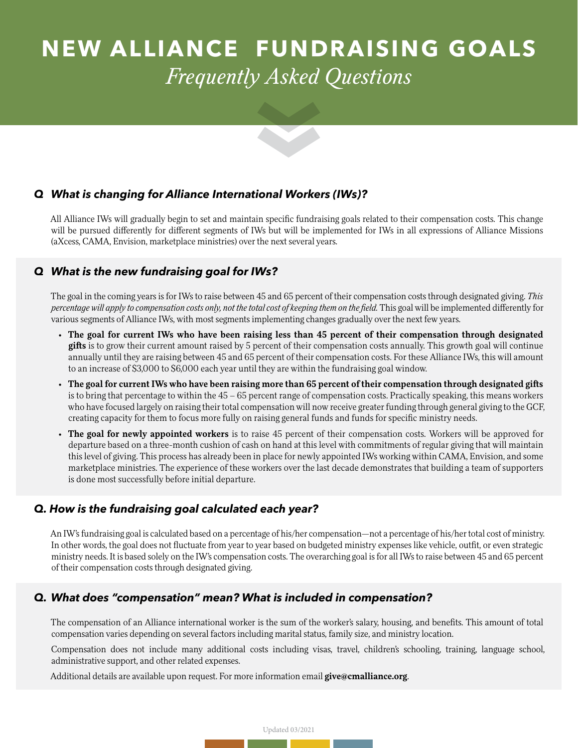# **NEW ALLIANCE FUNDRAISING GOALS** *Frequently Asked Questions*

## *Q What is changing for Alliance International Workers (IWs)?*

All Alliance IWs will gradually begin to set and maintain specific fundraising goals related to their compensation costs. This change will be pursued differently for different segments of IWs but will be implemented for IWs in all expressions of Alliance Missions (aXcess, CAMA, Envision, marketplace ministries) over the next several years.

## *Q What is the new fundraising goal for IWs?*

The goal in the coming years is for IWs to raise between 45 and 65 percent of their compensation costs through designated giving. *This percentage will apply to compensation costs only, not the total cost of keeping them on the field.* This goal will be implemented differently for various segments of Alliance IWs, with most segments implementing changes gradually over the next few years.

- **• The goal for current IWs who have been raising less than 45 percent of their compensation through designated gifts** is to grow their current amount raised by 5 percent of their compensation costs annually. This growth goal will continue annually until they are raising between 45 and 65 percent of their compensation costs. For these Alliance IWs, this will amount to an increase of \$3,000 to \$6,000 each year until they are within the fundraising goal window.
- **• The goal for current IWs who have been raising more than 65 percent of their compensation through designated gifts**  is to bring that percentage to within the 45 – 65 percent range of compensation costs. Practically speaking, this means workers who have focused largely on raising their total compensation will now receive greater funding through general giving to the GCF, creating capacity for them to focus more fully on raising general funds and funds for specific ministry needs.
- **• The goal for newly appointed workers** is to raise 45 percent of their compensation costs. Workers will be approved for departure based on a three-month cushion of cash on hand at this level with commitments of regular giving that will maintain this level of giving. This process has already been in place for newly appointed IWs working within CAMA, Envision, and some marketplace ministries. The experience of these workers over the last decade demonstrates that building a team of supporters is done most successfully before initial departure.

# *Q. How is the fundraising goal calculated each year?*

An IW's fundraising goal is calculated based on a percentage of his/her compensation—not a percentage of his/her total cost of ministry. In other words, the goal does not fluctuate from year to year based on budgeted ministry expenses like vehicle, outfit, or even strategic ministry needs. It is based solely on the IW's compensation costs. The overarching goal is for all IWs to raise between 45 and 65 percent of their compensation costs through designated giving.

# *Q. What does "compensation" mean? What is included in compensation?*

The compensation of an Alliance international worker is the sum of the worker's salary, housing, and benefits. This amount of total compensation varies depending on several factors including marital status, family size, and ministry location.

Compensation does not include many additional costs including visas, travel, children's schooling, training, language school, administrative support, and other related expenses.

Additional details are available upon request. For more information email **give@cmalliance.org**.

Updated 03/2021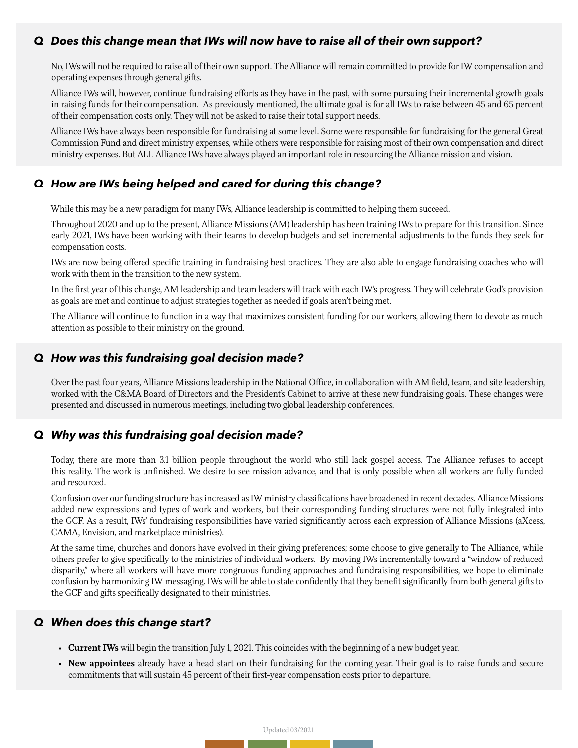#### *Q Does this change mean that IWs will now have to raise all of their own support?*

No, IWs will not be required to raise all of their own support. The Alliance will remain committed to provide for IW compensation and operating expenses through general gifts.

Alliance IWs will, however, continue fundraising efforts as they have in the past, with some pursuing their incremental growth goals in raising funds for their compensation. As previously mentioned, the ultimate goal is for all IWs to raise between 45 and 65 percent of their compensation costs only. They will not be asked to raise their total support needs.

Alliance IWs have always been responsible for fundraising at some level. Some were responsible for fundraising for the general Great Commission Fund and direct ministry expenses, while others were responsible for raising most of their own compensation and direct ministry expenses. But ALL Alliance IWs have always played an important role in resourcing the Alliance mission and vision.

#### *Q How are IWs being helped and cared for during this change?*

While this may be a new paradigm for many IWs, Alliance leadership is committed to helping them succeed.

Throughout 2020 and up to the present, Alliance Missions (AM) leadership has been training IWs to prepare for this transition. Since early 2021, IWs have been working with their teams to develop budgets and set incremental adjustments to the funds they seek for compensation costs.

IWs are now being offered specific training in fundraising best practices. They are also able to engage fundraising coaches who will work with them in the transition to the new system.

In the first year of this change, AM leadership and team leaders will track with each IW's progress. They will celebrate God's provision as goals are met and continue to adjust strategies together as needed if goals aren't being met.

The Alliance will continue to function in a way that maximizes consistent funding for our workers, allowing them to devote as much attention as possible to their ministry on the ground.

#### *Q How was this fundraising goal decision made?*

Over the past four years, Alliance Missions leadership in the National Office, in collaboration with AM field, team, and site leadership, worked with the C&MA Board of Directors and the President's Cabinet to arrive at these new fundraising goals. These changes were presented and discussed in numerous meetings, including two global leadership conferences.

# *Q Why was this fundraising goal decision made?*

Today, there are more than 3.1 billion people throughout the world who still lack gospel access. The Alliance refuses to accept this reality. The work is unfinished. We desire to see mission advance, and that is only possible when all workers are fully funded and resourced.

Confusion over our funding structure has increased as IW ministry classifications have broadened in recent decades. Alliance Missions added new expressions and types of work and workers, but their corresponding funding structures were not fully integrated into the GCF. As a result, IWs' fundraising responsibilities have varied significantly across each expression of Alliance Missions (aXcess, CAMA, Envision, and marketplace ministries).

At the same time, churches and donors have evolved in their giving preferences; some choose to give generally to The Alliance, while others prefer to give specifically to the ministries of individual workers. By moving IWs incrementally toward a "window of reduced disparity," where all workers will have more congruous funding approaches and fundraising responsibilities, we hope to eliminate confusion by harmonizing IW messaging. IWs will be able to state confidently that they benefit significantly from both general gifts to the GCF and gifts specifically designated to their ministries.

#### *Q When does this change start?*

- **• Current IWs** will begin the transition July 1, 2021. This coincides with the beginning of a new budget year.
- **• New appointees** already have a head start on their fundraising for the coming year. Their goal is to raise funds and secure commitments that will sustain 45 percent of their first-year compensation costs prior to departure.